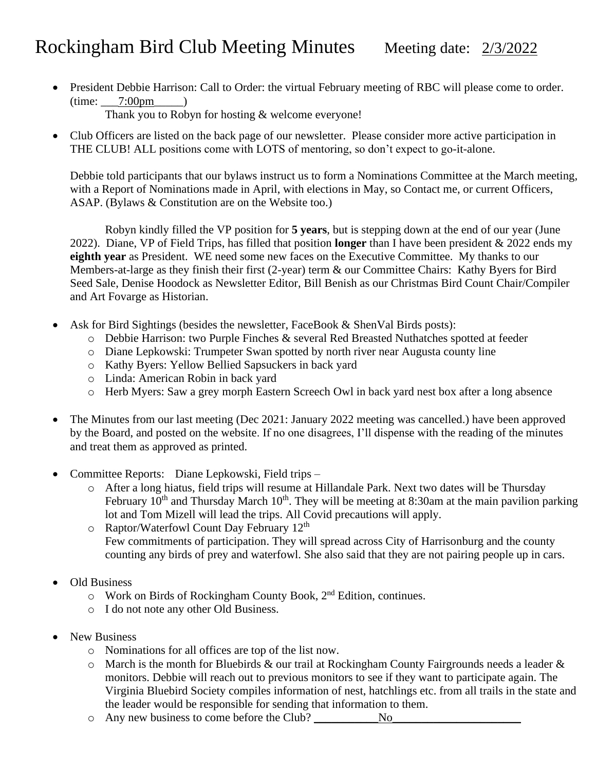## Rockingham Bird Club Meeting Minutes Meeting date: 2/3/2022

• President Debbie Harrison: Call to Order: the virtual February meeting of RBC will please come to order.  $(time: 7:00pm$ 

Thank you to Robyn for hosting & welcome everyone!

• Club Officers are listed on the back page of our newsletter. Please consider more active participation in THE CLUB! ALL positions come with LOTS of mentoring, so don't expect to go-it-alone.

Debbie told participants that our bylaws instruct us to form a Nominations Committee at the March meeting, with a Report of Nominations made in April, with elections in May, so Contact me, or current Officers, ASAP. (Bylaws & Constitution are on the Website too.)

Robyn kindly filled the VP position for **5 years**, but is stepping down at the end of our year (June 2022). Diane, VP of Field Trips, has filled that position **longer** than I have been president & 2022 ends my **eighth year** as President. WE need some new faces on the Executive Committee. My thanks to our Members-at-large as they finish their first (2-year) term & our Committee Chairs: Kathy Byers for Bird Seed Sale, Denise Hoodock as Newsletter Editor, Bill Benish as our Christmas Bird Count Chair/Compiler and Art Fovarge as Historian.

- Ask for Bird Sightings (besides the newsletter, FaceBook & ShenVal Birds posts):
	- o Debbie Harrison: two Purple Finches & several Red Breasted Nuthatches spotted at feeder
	- o Diane Lepkowski: Trumpeter Swan spotted by north river near Augusta county line
	- o Kathy Byers: Yellow Bellied Sapsuckers in back yard
	- o Linda: American Robin in back yard
	- o Herb Myers: Saw a grey morph Eastern Screech Owl in back yard nest box after a long absence
- The Minutes from our last meeting (Dec 2021: January 2022 meeting was cancelled.) have been approved by the Board, and posted on the website. If no one disagrees, I'll dispense with the reading of the minutes and treat them as approved as printed.
- Committee Reports: Diane Lepkowski, Field trips
	- o After a long hiatus, field trips will resume at Hillandale Park. Next two dates will be Thursday February  $10^{th}$  and Thursday March  $10^{th}$ . They will be meeting at 8:30am at the main pavilion parking lot and Tom Mizell will lead the trips. All Covid precautions will apply.
	- $\circ$  Raptor/Waterfowl Count Day February 12<sup>th</sup> Few commitments of participation. They will spread across City of Harrisonburg and the county counting any birds of prey and waterfowl. She also said that they are not pairing people up in cars.
- Old Business
	- o Work on Birds of Rockingham County Book, 2nd Edition, continues.
	- o I do not note any other Old Business.
- New Business
	- o Nominations for all offices are top of the list now.
	- o March is the month for Bluebirds & our trail at Rockingham County Fairgrounds needs a leader & monitors. Debbie will reach out to previous monitors to see if they want to participate again. The Virginia Bluebird Society compiles information of nest, hatchlings etc. from all trails in the state and the leader would be responsible for sending that information to them.
	- $\circ$  Any new business to come before the Club? No